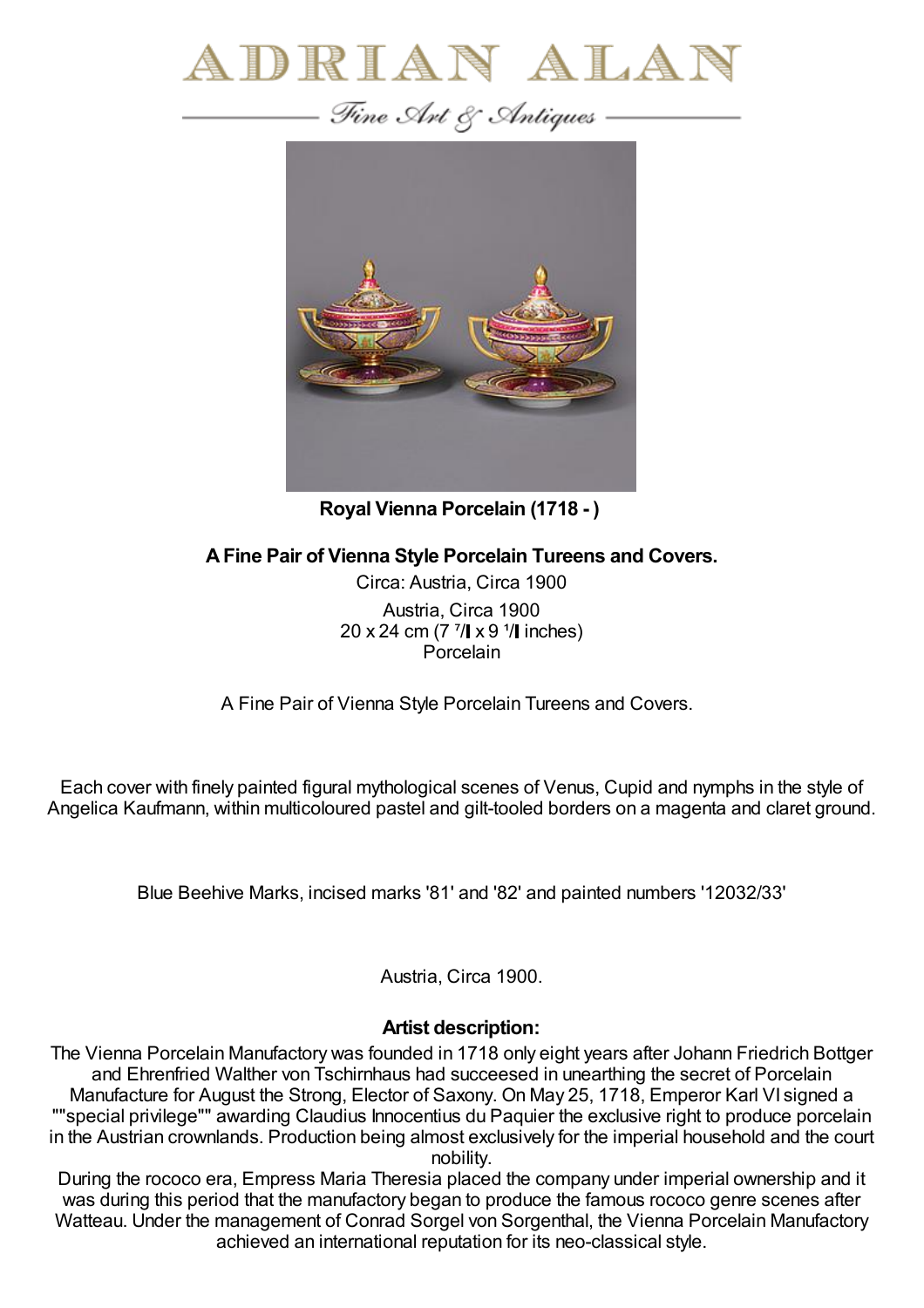



**Royal Vienna Porcelain (1718 - )**

**AFine Pair of Vienna Style Porcelain Tureens and Covers.**

Circa: Austria, Circa 1900 Austria, Circa 1900 20 x 24 cm (7  $\frac{7}{1}$  x 9  $\frac{1}{1}$  inches) **Porcelain** 

A Fine Pair of Vienna Style Porcelain Tureens and Covers.

Each cover with finely painted figural mythological scenes of Venus, Cupid and nymphs in the style of Angelica Kaufmann, within multicoloured pastel and gilt-tooled borders on a magenta and claret ground.

Blue Beehive Marks, incised marks '81' and '82' and painted numbers '12032/33'

Austria, Circa 1900.

## **Artist description:**

The Vienna Porcelain Manufactory was founded in 1718 only eight years after Johann Friedrich Bottger and Ehrenfried Walther von Tschirnhaus had succeesed in unearthing the secret of Porcelain Manufacture for August the Strong, Elector of Saxony. On May 25, 1718, Emperor Karl VI signed a ""special privilege"" awarding Claudius Innocentius du Paquier the exclusive right to produce porcelain in the Austrian crownlands. Production being almost exclusively for the imperial household and the court nobility.

During the rococo era, Empress Maria Theresia placed the company under imperial ownership and it was during this period that the manufactory began to produce the famous rococo genre scenes after Watteau. Under the management of Conrad Sorgel von Sorgenthal, the Vienna Porcelain Manufactory achieved an international reputation for its neo-classical style.